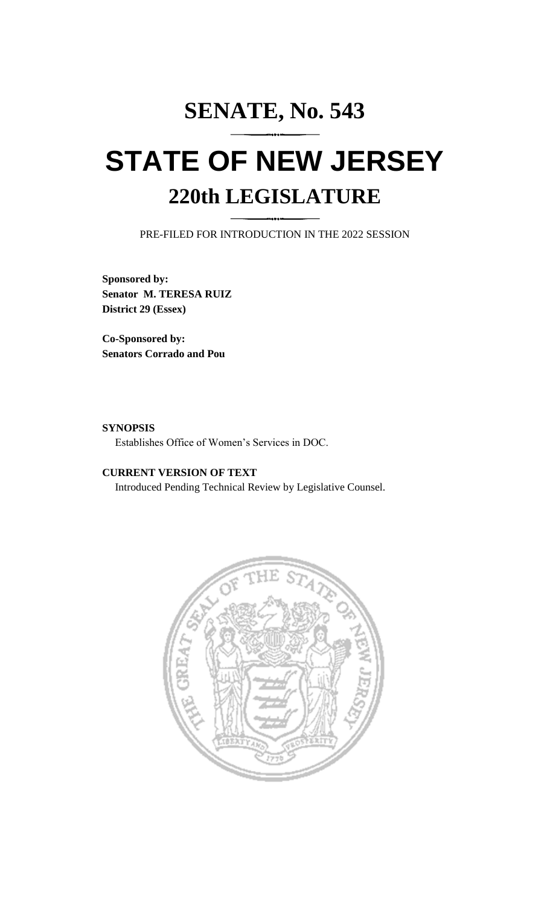## **SENATE, No. 543 STATE OF NEW JERSEY 220th LEGISLATURE**

PRE-FILED FOR INTRODUCTION IN THE 2022 SESSION

**Sponsored by: Senator M. TERESA RUIZ District 29 (Essex)**

**Co-Sponsored by: Senators Corrado and Pou**

## **SYNOPSIS**

Establishes Office of Women's Services in DOC.

## **CURRENT VERSION OF TEXT**

Introduced Pending Technical Review by Legislative Counsel.

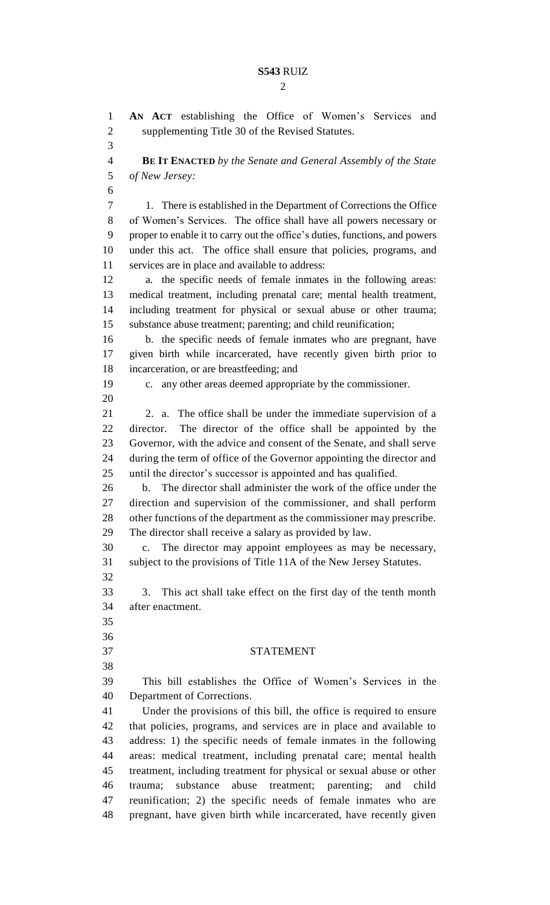$\mathcal{D}_{\mathcal{L}}$ 

 **AN ACT** establishing the Office of Women's Services and supplementing Title 30 of the Revised Statutes. **BE IT ENACTED** *by the Senate and General Assembly of the State of New Jersey:* 1. There is established in the Department of Corrections the Office of Women's Services. The office shall have all powers necessary or proper to enable it to carry out the office's duties, functions, and powers under this act. The office shall ensure that policies, programs, and services are in place and available to address: a. the specific needs of female inmates in the following areas: medical treatment, including prenatal care; mental health treatment, including treatment for physical or sexual abuse or other trauma; substance abuse treatment; parenting; and child reunification; b. the specific needs of female inmates who are pregnant, have given birth while incarcerated, have recently given birth prior to incarceration, or are breastfeeding; and c. any other areas deemed appropriate by the commissioner. 2. a. The office shall be under the immediate supervision of a director. The director of the office shall be appointed by the Governor, with the advice and consent of the Senate, and shall serve during the term of office of the Governor appointing the director and until the director's successor is appointed and has qualified. b. The director shall administer the work of the office under the direction and supervision of the commissioner, and shall perform other functions of the department as the commissioner may prescribe. The director shall receive a salary as provided by law. c. The director may appoint employees as may be necessary, subject to the provisions of Title 11A of the New Jersey Statutes. 3. This act shall take effect on the first day of the tenth month after enactment. STATEMENT This bill establishes the Office of Women's Services in the Department of Corrections. Under the provisions of this bill, the office is required to ensure that policies, programs, and services are in place and available to address: 1) the specific needs of female inmates in the following areas: medical treatment, including prenatal care; mental health treatment, including treatment for physical or sexual abuse or other trauma; substance abuse treatment; parenting; and child reunification; 2) the specific needs of female inmates who are pregnant, have given birth while incarcerated, have recently given